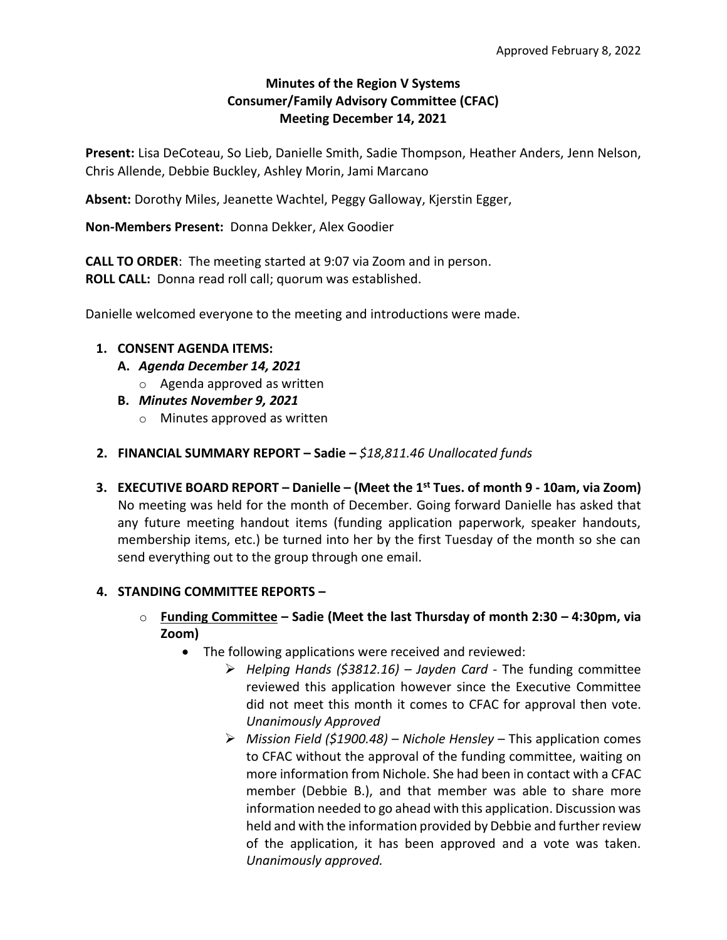# **Minutes of the Region V Systems Consumer/Family Advisory Committee (CFAC) Meeting December 14, 2021**

**Present:** Lisa DeCoteau, So Lieb, Danielle Smith, Sadie Thompson, Heather Anders, Jenn Nelson, Chris Allende, Debbie Buckley, Ashley Morin, Jami Marcano

**Absent:** Dorothy Miles, Jeanette Wachtel, Peggy Galloway, Kjerstin Egger,

**Non-Members Present:** Donna Dekker, Alex Goodier

**CALL TO ORDER**: The meeting started at 9:07 via Zoom and in person. **ROLL CALL:** Donna read roll call; quorum was established.

Danielle welcomed everyone to the meeting and introductions were made.

### **1. CONSENT AGENDA ITEMS:**

- **A.** *Agenda December 14, 2021*
	- o Agenda approved as written
- **B.** *Minutes November 9, 2021*
	- o Minutes approved as written
- **2. FINANCIAL SUMMARY REPORT – Sadie –** *\$18,811.46 Unallocated funds*
- **3. EXECUTIVE BOARD REPORT – Danielle – (Meet the 1st Tues. of month 9 - 10am, via Zoom)** No meeting was held for the month of December. Going forward Danielle has asked that any future meeting handout items (funding application paperwork, speaker handouts, membership items, etc.) be turned into her by the first Tuesday of the month so she can send everything out to the group through one email.

### **4. STANDING COMMITTEE REPORTS –**

- o **Funding Committee – Sadie (Meet the last Thursday of month 2:30 – 4:30pm, via Zoom)**
	- The following applications were received and reviewed:
		- ➢ *Helping Hands (\$3812.16) – Jayden Card -* The funding committee reviewed this application however since the Executive Committee did not meet this month it comes to CFAC for approval then vote. *Unanimously Approved*
		- ➢ *Mission Field (\$1900.48) – Nichole Hensley* This application comes to CFAC without the approval of the funding committee, waiting on more information from Nichole. She had been in contact with a CFAC member (Debbie B.), and that member was able to share more information needed to go ahead with this application. Discussion was held and with the information provided by Debbie and further review of the application, it has been approved and a vote was taken. *Unanimously approved.*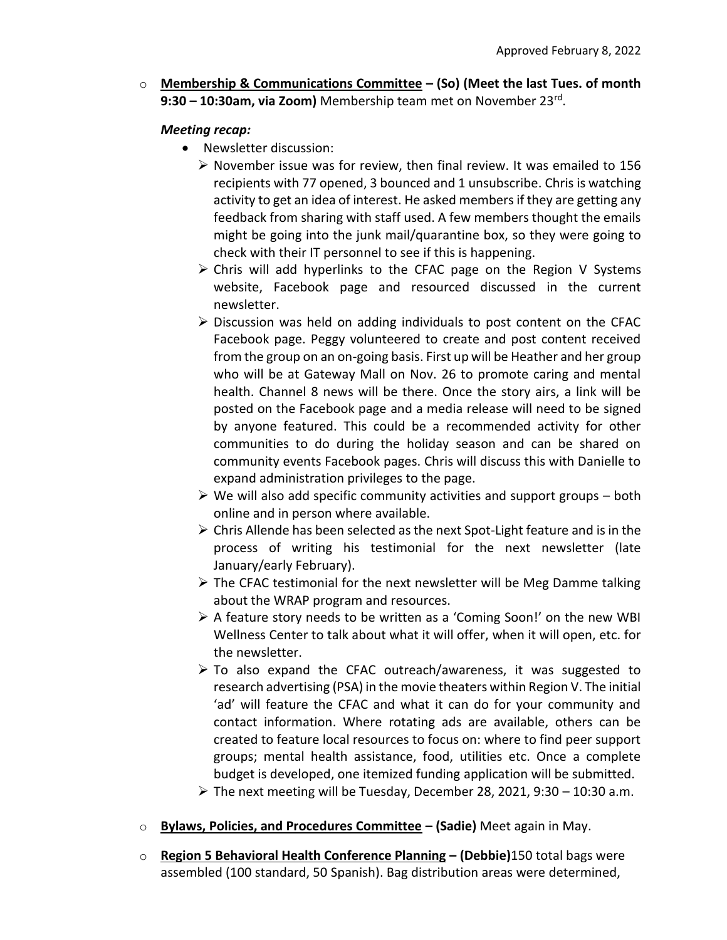o **Membership & Communications Committee – (So) (Meet the last Tues. of month 9:30 – 10:30am, via Zoom)** Membership team met on November 23rd .

## *Meeting recap:*

- Newsletter discussion:
	- $\triangleright$  November issue was for review, then final review. It was emailed to 156 recipients with 77 opened, 3 bounced and 1 unsubscribe. Chris is watching activity to get an idea of interest. He asked members if they are getting any feedback from sharing with staff used. A few members thought the emails might be going into the junk mail/quarantine box, so they were going to check with their IT personnel to see if this is happening.
	- $\triangleright$  Chris will add hyperlinks to the CFAC page on the Region V Systems website, Facebook page and resourced discussed in the current newsletter.
	- $\triangleright$  Discussion was held on adding individuals to post content on the CFAC Facebook page. Peggy volunteered to create and post content received from the group on an on-going basis. First up will be Heather and her group who will be at Gateway Mall on Nov. 26 to promote caring and mental health. Channel 8 news will be there. Once the story airs, a link will be posted on the Facebook page and a media release will need to be signed by anyone featured. This could be a recommended activity for other communities to do during the holiday season and can be shared on community events Facebook pages. Chris will discuss this with Danielle to expand administration privileges to the page.
	- $\triangleright$  We will also add specific community activities and support groups both online and in person where available.
	- $\triangleright$  Chris Allende has been selected as the next Spot-Light feature and is in the process of writing his testimonial for the next newsletter (late January/early February).
	- ➢ The CFAC testimonial for the next newsletter will be Meg Damme talking about the WRAP program and resources.
	- $\triangleright$  A feature story needs to be written as a 'Coming Soon!' on the new WBI Wellness Center to talk about what it will offer, when it will open, etc. for the newsletter.
	- ➢ To also expand the CFAC outreach/awareness, it was suggested to research advertising (PSA) in the movie theaters within Region V. The initial 'ad' will feature the CFAC and what it can do for your community and contact information. Where rotating ads are available, others can be created to feature local resources to focus on: where to find peer support groups; mental health assistance, food, utilities etc. Once a complete budget is developed, one itemized funding application will be submitted.
	- $\triangleright$  The next meeting will be Tuesday, December 28, 2021, 9:30 10:30 a.m.
- o **Bylaws, Policies, and Procedures Committee – (Sadie)** Meet again in May.
- o **Region 5 Behavioral Health Conference Planning – (Debbie)**150 total bags were assembled (100 standard, 50 Spanish). Bag distribution areas were determined,